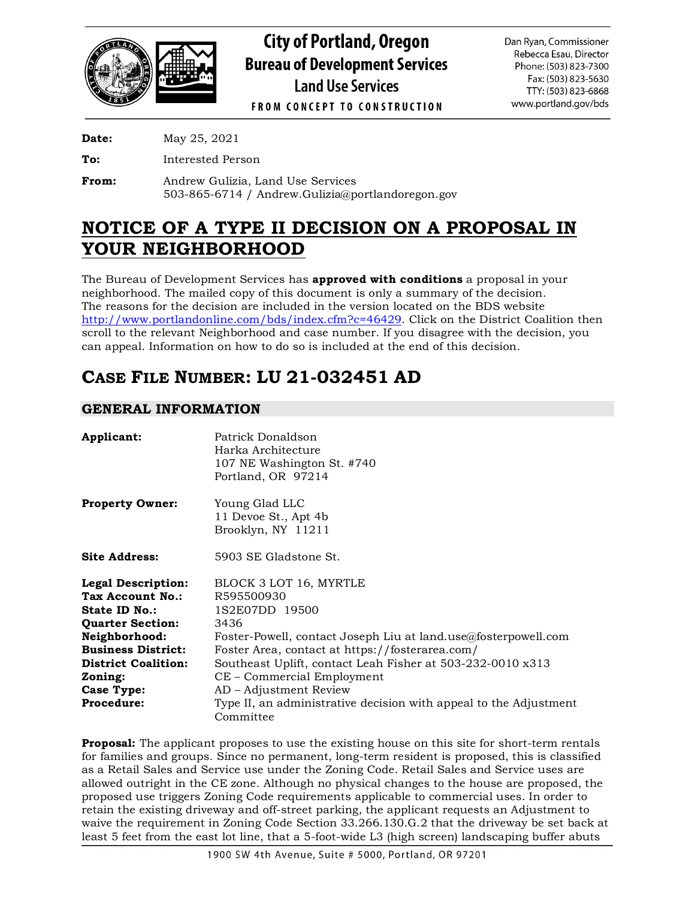

**City of Portland, Oregon Bureau of Development Services Land Use Services** 

Dan Ryan, Commissioner Rebecca Esau, Director Phone: (503) 823-7300 Fax: (503) 823-5630 TTY: (503) 823-6868 www.portland.gov/bds

**FROM CONCEPT TO CONSTRUCTION** 

**Date:** May 25, 2021

**To:** Interested Person

**From:** Andrew Gulizia, Land Use Services 503-865-6714 / Andrew.Gulizia@portlandoregon.gov

# **NOTICE OF A TYPE II DECISION ON A PROPOSAL IN YOUR NEIGHBORHOOD**

The Bureau of Development Services has **approved with conditions** a proposal in your neighborhood. The mailed copy of this document is only a summary of the decision. The reasons for the decision are included in the version located on the BDS website [http://www.portlandonline.com/bds/index.cfm?c=46429.](http://www.portlandonline.com/bds/index.cfm?c=46429) Click on the District Coalition then scroll to the relevant Neighborhood and case number. If you disagree with the decision, you can appeal. Information on how to do so is included at the end of this decision.

# **CASE FILE NUMBER: LU 21-032451 AD**

# **GENERAL INFORMATION**

| Applicant:                                                                                                                                                            | Patrick Donaldson<br>Harka Architecture<br>107 NE Washington St. #740<br>Portland, OR 97214                                                                                                                                                       |
|-----------------------------------------------------------------------------------------------------------------------------------------------------------------------|---------------------------------------------------------------------------------------------------------------------------------------------------------------------------------------------------------------------------------------------------|
| <b>Property Owner:</b>                                                                                                                                                | Young Glad LLC<br>11 Devoe St., Apt 4b<br>Brooklyn, NY 11211                                                                                                                                                                                      |
| Site Address:                                                                                                                                                         | 5903 SE Gladstone St.                                                                                                                                                                                                                             |
| <b>Legal Description:</b><br>Tax Account No.:<br>State ID No.:<br><b>Quarter Section:</b><br>Neighborhood:<br><b>Business District:</b><br><b>District Coalition:</b> | BLOCK 3 LOT 16, MYRTLE<br>R595500930<br>1S2E07DD 19500<br>3436<br>Foster-Powell, contact Joseph Liu at land.use@fosterpowell.com<br>Foster Area, contact at https://fosterarea.com/<br>Southeast Uplift, contact Leah Fisher at 503-232-0010 x313 |
| Zoning:                                                                                                                                                               | CE - Commercial Employment                                                                                                                                                                                                                        |
| Case Type:                                                                                                                                                            | AD – Adjustment Review                                                                                                                                                                                                                            |
| Procedure:                                                                                                                                                            | Type II, an administrative decision with appeal to the Adjustment<br>Committee                                                                                                                                                                    |

**Proposal:** The applicant proposes to use the existing house on this site for short-term rentals for families and groups. Since no permanent, long-term resident is proposed, this is classified as a Retail Sales and Service use under the Zoning Code. Retail Sales and Service uses are allowed outright in the CE zone. Although no physical changes to the house are proposed, the proposed use triggers Zoning Code requirements applicable to commercial uses. In order to retain the existing driveway and off-street parking, the applicant requests an Adjustment to waive the requirement in Zoning Code Section 33.266.130.G.2 that the driveway be set back at least 5 feet from the east lot line, that a 5-foot-wide L3 (high screen) landscaping buffer abuts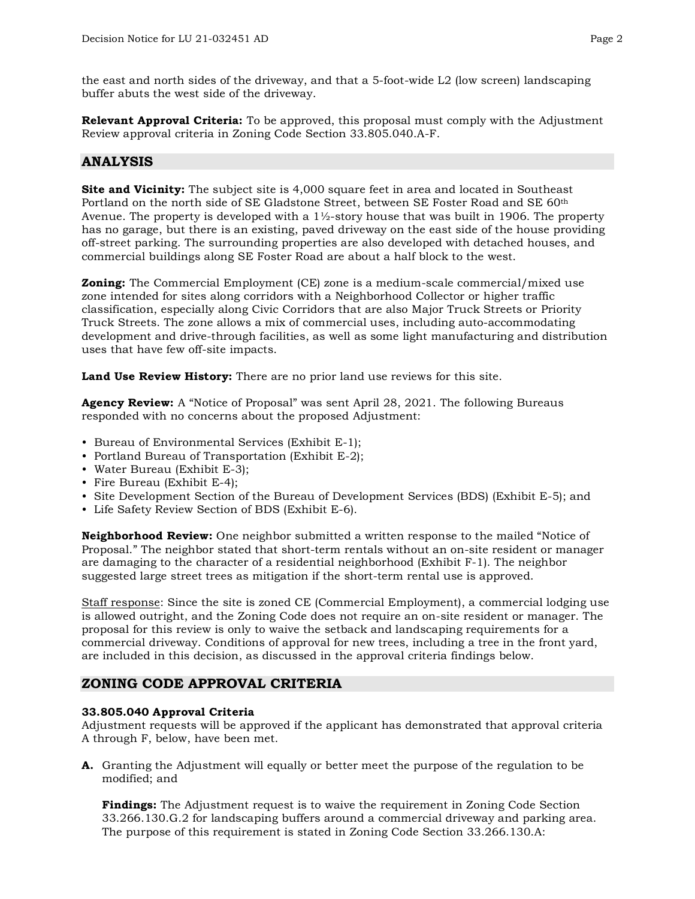the east and north sides of the driveway, and that a 5-foot-wide L2 (low screen) landscaping buffer abuts the west side of the driveway.

**Relevant Approval Criteria:** To be approved, this proposal must comply with the Adjustment Review approval criteria in Zoning Code Section 33.805.040.A-F.

# **ANALYSIS**

**Site and Vicinity:** The subject site is 4,000 square feet in area and located in Southeast Portland on the north side of SE Gladstone Street, between SE Foster Road and SE 60<sup>th</sup> Avenue. The property is developed with a  $1\frac{1}{2}$ -story house that was built in 1906. The property has no garage, but there is an existing, paved driveway on the east side of the house providing off-street parking. The surrounding properties are also developed with detached houses, and commercial buildings along SE Foster Road are about a half block to the west.

**Zoning:** The Commercial Employment (CE) zone is a medium-scale commercial/mixed use zone intended for sites along corridors with a Neighborhood Collector or higher traffic classification, especially along Civic Corridors that are also Major Truck Streets or Priority Truck Streets. The zone allows a mix of commercial uses, including auto-accommodating development and drive-through facilities, as well as some light manufacturing and distribution uses that have few off-site impacts.

**Land Use Review History:** There are no prior land use reviews for this site.

**Agency Review:** A "Notice of Proposal" was sent April 28, 2021. The following Bureaus responded with no concerns about the proposed Adjustment:

- Bureau of Environmental Services (Exhibit E-1);
- Portland Bureau of Transportation (Exhibit E-2);
- Water Bureau (Exhibit E-3);
- Fire Bureau (Exhibit E-4);
- Site Development Section of the Bureau of Development Services (BDS) (Exhibit E-5); and
- Life Safety Review Section of BDS (Exhibit E-6).

**Neighborhood Review:** One neighbor submitted a written response to the mailed "Notice of Proposal." The neighbor stated that short-term rentals without an on-site resident or manager are damaging to the character of a residential neighborhood (Exhibit F-1). The neighbor suggested large street trees as mitigation if the short-term rental use is approved.

Staff response: Since the site is zoned CE (Commercial Employment), a commercial lodging use is allowed outright, and the Zoning Code does not require an on-site resident or manager. The proposal for this review is only to waive the setback and landscaping requirements for a commercial driveway. Conditions of approval for new trees, including a tree in the front yard, are included in this decision, as discussed in the approval criteria findings below.

# **ZONING CODE APPROVAL CRITERIA**

## **33.805.040 Approval Criteria**

Adjustment requests will be approved if the applicant has demonstrated that approval criteria A through F, below, have been met.

**A.** Granting the Adjustment will equally or better meet the purpose of the regulation to be modified; and

**Findings:** The Adjustment request is to waive the requirement in Zoning Code Section 33.266.130.G.2 for landscaping buffers around a commercial driveway and parking area. The purpose of this requirement is stated in Zoning Code Section 33.266.130.A: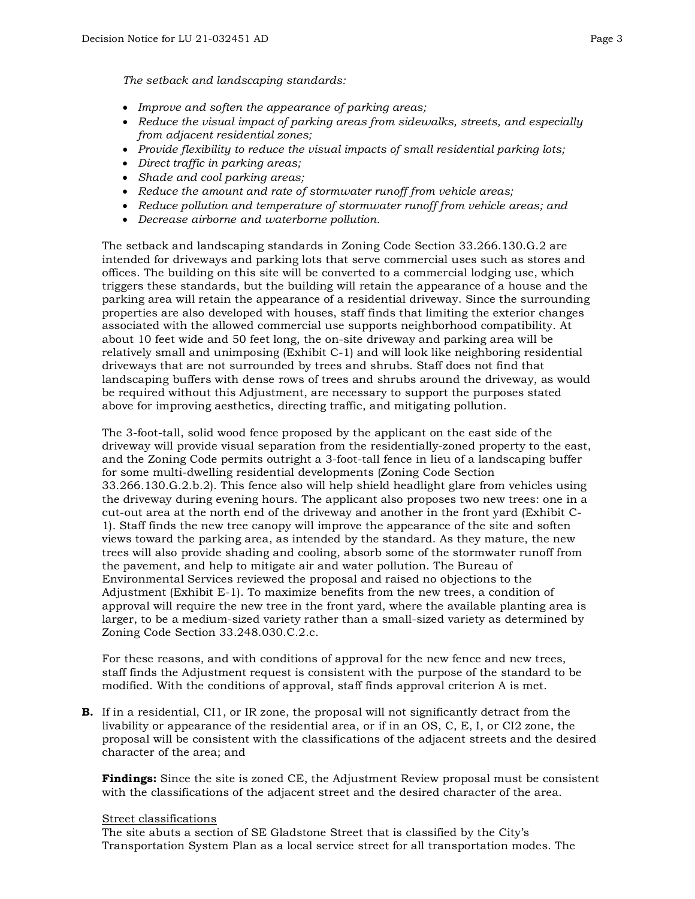- *Improve and soften the appearance of parking areas;*
- *Reduce the visual impact of parking areas from sidewalks, streets, and especially from adjacent residential zones;*
- *Provide flexibility to reduce the visual impacts of small residential parking lots;*
- *Direct traffic in parking areas;*
- *Shade and cool parking areas;*
- *Reduce the amount and rate of stormwater runoff from vehicle areas;*
- *Reduce pollution and temperature of stormwater runoff from vehicle areas; and*
- *Decrease airborne and waterborne pollution.*

The setback and landscaping standards in Zoning Code Section 33.266.130.G.2 are intended for driveways and parking lots that serve commercial uses such as stores and offices. The building on this site will be converted to a commercial lodging use, which triggers these standards, but the building will retain the appearance of a house and the parking area will retain the appearance of a residential driveway. Since the surrounding properties are also developed with houses, staff finds that limiting the exterior changes associated with the allowed commercial use supports neighborhood compatibility. At about 10 feet wide and 50 feet long, the on-site driveway and parking area will be relatively small and unimposing (Exhibit C-1) and will look like neighboring residential driveways that are not surrounded by trees and shrubs. Staff does not find that landscaping buffers with dense rows of trees and shrubs around the driveway, as would be required without this Adjustment, are necessary to support the purposes stated above for improving aesthetics, directing traffic, and mitigating pollution.

The 3-foot-tall, solid wood fence proposed by the applicant on the east side of the driveway will provide visual separation from the residentially-zoned property to the east, and the Zoning Code permits outright a 3-foot-tall fence in lieu of a landscaping buffer for some multi-dwelling residential developments (Zoning Code Section 33.266.130.G.2.b.2). This fence also will help shield headlight glare from vehicles using the driveway during evening hours. The applicant also proposes two new trees: one in a cut-out area at the north end of the driveway and another in the front yard (Exhibit C-1). Staff finds the new tree canopy will improve the appearance of the site and soften views toward the parking area, as intended by the standard. As they mature, the new trees will also provide shading and cooling, absorb some of the stormwater runoff from the pavement, and help to mitigate air and water pollution. The Bureau of Environmental Services reviewed the proposal and raised no objections to the Adjustment (Exhibit E-1). To maximize benefits from the new trees, a condition of approval will require the new tree in the front yard, where the available planting area is larger, to be a medium-sized variety rather than a small-sized variety as determined by Zoning Code Section 33.248.030.C.2.c.

For these reasons, and with conditions of approval for the new fence and new trees, staff finds the Adjustment request is consistent with the purpose of the standard to be modified. With the conditions of approval, staff finds approval criterion A is met.

**B.** If in a residential, CI1, or IR zone, the proposal will not significantly detract from the livability or appearance of the residential area, or if in an OS, C, E, I, or CI2 zone, the proposal will be consistent with the classifications of the adjacent streets and the desired character of the area; and

**Findings:** Since the site is zoned CE, the Adjustment Review proposal must be consistent with the classifications of the adjacent street and the desired character of the area.

## Street classifications

The site abuts a section of SE Gladstone Street that is classified by the City's Transportation System Plan as a local service street for all transportation modes. The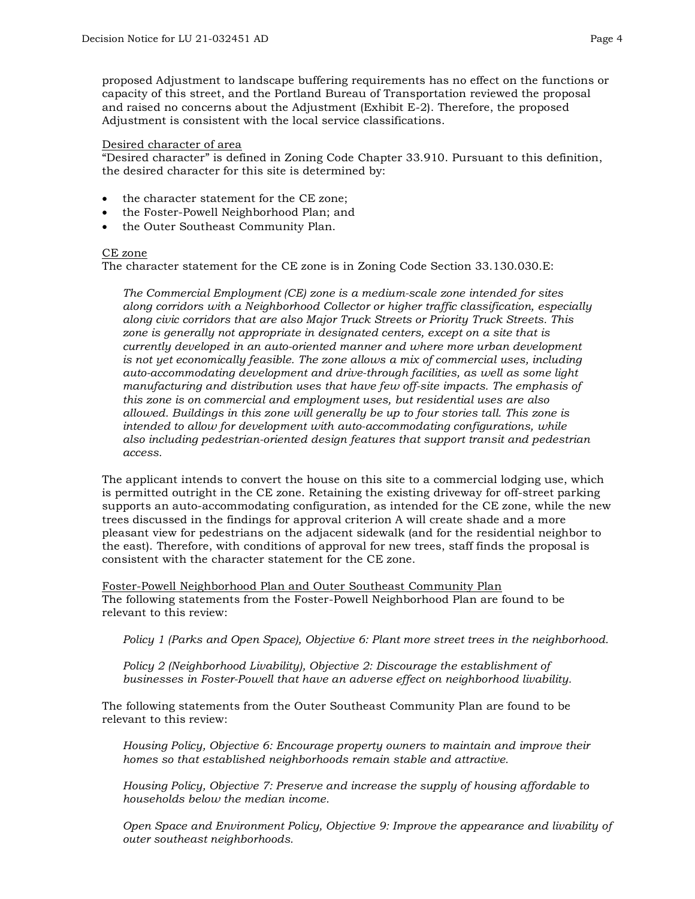proposed Adjustment to landscape buffering requirements has no effect on the functions or capacity of this street, and the Portland Bureau of Transportation reviewed the proposal and raised no concerns about the Adjustment (Exhibit E-2). Therefore, the proposed Adjustment is consistent with the local service classifications.

#### Desired character of area

"Desired character" is defined in Zoning Code Chapter 33.910. Pursuant to this definition, the desired character for this site is determined by:

- the character statement for the CE zone:
- the Foster-Powell Neighborhood Plan; and
- the Outer Southeast Community Plan.

#### CE zone

The character statement for the CE zone is in Zoning Code Section 33.130.030.E:

*The Commercial Employment (CE) zone is a medium-scale zone intended for sites along corridors with a Neighborhood Collector or higher traffic classification, especially along civic corridors that are also Major Truck Streets or Priority Truck Streets. This zone is generally not appropriate in designated centers, except on a site that is currently developed in an auto-oriented manner and where more urban development is not yet economically feasible. The zone allows a mix of commercial uses, including auto-accommodating development and drive-through facilities, as well as some light manufacturing and distribution uses that have few off-site impacts. The emphasis of this zone is on commercial and employment uses, but residential uses are also allowed. Buildings in this zone will generally be up to four stories tall. This zone is intended to allow for development with auto-accommodating configurations, while also including pedestrian-oriented design features that support transit and pedestrian access.*

The applicant intends to convert the house on this site to a commercial lodging use, which is permitted outright in the CE zone. Retaining the existing driveway for off-street parking supports an auto-accommodating configuration, as intended for the CE zone, while the new trees discussed in the findings for approval criterion A will create shade and a more pleasant view for pedestrians on the adjacent sidewalk (and for the residential neighbor to the east). Therefore, with conditions of approval for new trees, staff finds the proposal is consistent with the character statement for the CE zone.

Foster-Powell Neighborhood Plan and Outer Southeast Community Plan The following statements from the Foster-Powell Neighborhood Plan are found to be relevant to this review:

*Policy 1 (Parks and Open Space), Objective 6: Plant more street trees in the neighborhood.*

*Policy 2 (Neighborhood Livability), Objective 2: Discourage the establishment of businesses in Foster-Powell that have an adverse effect on neighborhood livability.* 

The following statements from the Outer Southeast Community Plan are found to be relevant to this review:

*Housing Policy, Objective 6: Encourage property owners to maintain and improve their homes so that established neighborhoods remain stable and attractive.*

*Housing Policy, Objective 7: Preserve and increase the supply of housing affordable to households below the median income.*

*Open Space and Environment Policy, Objective 9: Improve the appearance and livability of outer southeast neighborhoods.*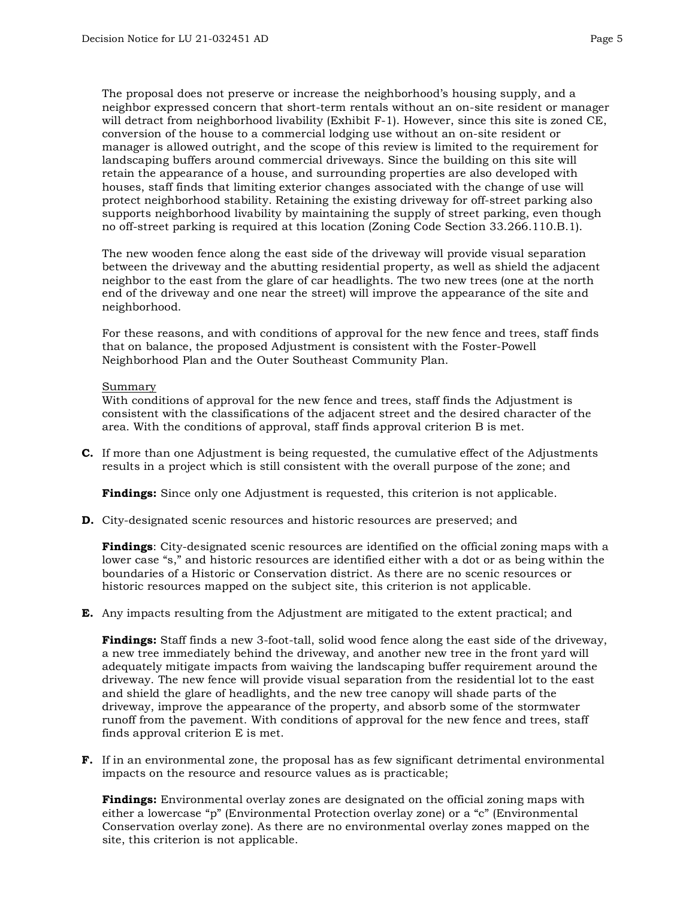The proposal does not preserve or increase the neighborhood's housing supply, and a neighbor expressed concern that short-term rentals without an on-site resident or manager will detract from neighborhood livability (Exhibit F-1). However, since this site is zoned CE, conversion of the house to a commercial lodging use without an on-site resident or manager is allowed outright, and the scope of this review is limited to the requirement for landscaping buffers around commercial driveways. Since the building on this site will retain the appearance of a house, and surrounding properties are also developed with houses, staff finds that limiting exterior changes associated with the change of use will protect neighborhood stability. Retaining the existing driveway for off-street parking also supports neighborhood livability by maintaining the supply of street parking, even though no off-street parking is required at this location (Zoning Code Section 33.266.110.B.1).

The new wooden fence along the east side of the driveway will provide visual separation between the driveway and the abutting residential property, as well as shield the adjacent neighbor to the east from the glare of car headlights. The two new trees (one at the north end of the driveway and one near the street) will improve the appearance of the site and neighborhood.

For these reasons, and with conditions of approval for the new fence and trees, staff finds that on balance, the proposed Adjustment is consistent with the Foster-Powell Neighborhood Plan and the Outer Southeast Community Plan.

#### Summary

With conditions of approval for the new fence and trees, staff finds the Adjustment is consistent with the classifications of the adjacent street and the desired character of the area. With the conditions of approval, staff finds approval criterion B is met.

**C.** If more than one Adjustment is being requested, the cumulative effect of the Adjustments results in a project which is still consistent with the overall purpose of the zone; and

**Findings:** Since only one Adjustment is requested, this criterion is not applicable.

**D.** City-designated scenic resources and historic resources are preserved; and

**Findings**: City-designated scenic resources are identified on the official zoning maps with a lower case "s," and historic resources are identified either with a dot or as being within the boundaries of a Historic or Conservation district. As there are no scenic resources or historic resources mapped on the subject site, this criterion is not applicable.

**E.** Any impacts resulting from the Adjustment are mitigated to the extent practical; and

**Findings:** Staff finds a new 3-foot-tall, solid wood fence along the east side of the driveway, a new tree immediately behind the driveway, and another new tree in the front yard will adequately mitigate impacts from waiving the landscaping buffer requirement around the driveway. The new fence will provide visual separation from the residential lot to the east and shield the glare of headlights, and the new tree canopy will shade parts of the driveway, improve the appearance of the property, and absorb some of the stormwater runoff from the pavement. With conditions of approval for the new fence and trees, staff finds approval criterion E is met.

**F.** If in an environmental zone, the proposal has as few significant detrimental environmental impacts on the resource and resource values as is practicable;

**Findings:** Environmental overlay zones are designated on the official zoning maps with either a lowercase "p" (Environmental Protection overlay zone) or a "c" (Environmental Conservation overlay zone). As there are no environmental overlay zones mapped on the site, this criterion is not applicable.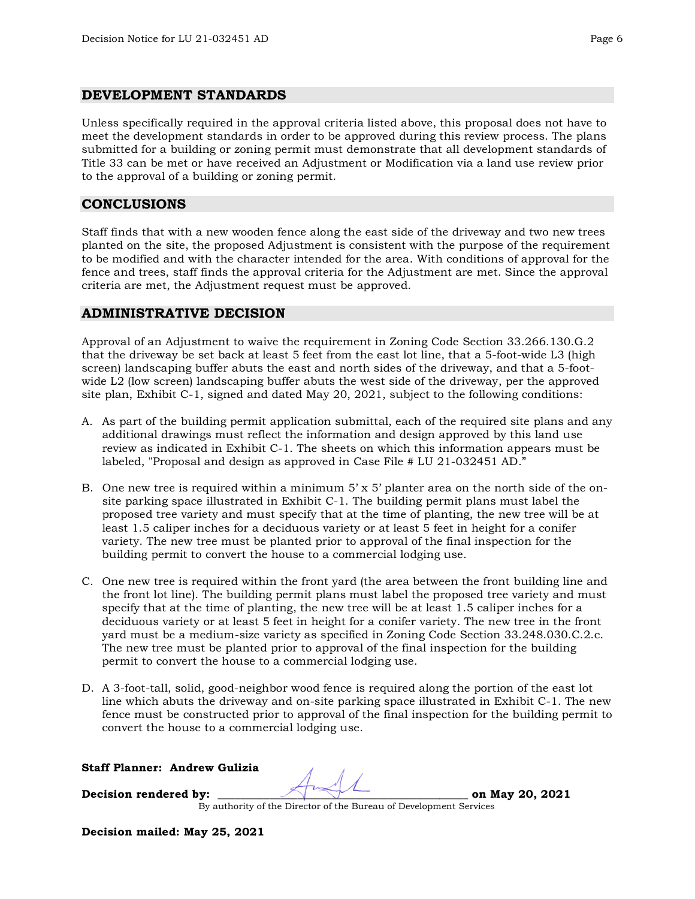## **DEVELOPMENT STANDARDS**

Unless specifically required in the approval criteria listed above, this proposal does not have to meet the development standards in order to be approved during this review process. The plans submitted for a building or zoning permit must demonstrate that all development standards of Title 33 can be met or have received an Adjustment or Modification via a land use review prior to the approval of a building or zoning permit.

## **CONCLUSIONS**

Staff finds that with a new wooden fence along the east side of the driveway and two new trees planted on the site, the proposed Adjustment is consistent with the purpose of the requirement to be modified and with the character intended for the area. With conditions of approval for the fence and trees, staff finds the approval criteria for the Adjustment are met. Since the approval criteria are met, the Adjustment request must be approved.

# **ADMINISTRATIVE DECISION**

Approval of an Adjustment to waive the requirement in Zoning Code Section 33.266.130.G.2 that the driveway be set back at least 5 feet from the east lot line, that a 5-foot-wide L3 (high screen) landscaping buffer abuts the east and north sides of the driveway, and that a 5-footwide L2 (low screen) landscaping buffer abuts the west side of the driveway, per the approved site plan, Exhibit C-1, signed and dated May 20, 2021, subject to the following conditions:

- A. As part of the building permit application submittal, each of the required site plans and any additional drawings must reflect the information and design approved by this land use review as indicated in Exhibit C-1. The sheets on which this information appears must be labeled, "Proposal and design as approved in Case File # LU 21-032451 AD."
- B. One new tree is required within a minimum  $5' \times 5'$  planter area on the north side of the onsite parking space illustrated in Exhibit C-1. The building permit plans must label the proposed tree variety and must specify that at the time of planting, the new tree will be at least 1.5 caliper inches for a deciduous variety or at least 5 feet in height for a conifer variety. The new tree must be planted prior to approval of the final inspection for the building permit to convert the house to a commercial lodging use.
- C. One new tree is required within the front yard (the area between the front building line and the front lot line). The building permit plans must label the proposed tree variety and must specify that at the time of planting, the new tree will be at least 1.5 caliper inches for a deciduous variety or at least 5 feet in height for a conifer variety. The new tree in the front yard must be a medium-size variety as specified in Zoning Code Section 33.248.030.C.2.c. The new tree must be planted prior to approval of the final inspection for the building permit to convert the house to a commercial lodging use.
- D. A 3-foot-tall, solid, good-neighbor wood fence is required along the portion of the east lot line which abuts the driveway and on-site parking space illustrated in Exhibit C-1. The new fence must be constructed prior to approval of the final inspection for the building permit to convert the house to a commercial lodging use.

## **Staff Planner: Andrew Gulizia**

**Decision rendered by: \_\_\_\_\_\_\_\_\_\_\_\_\_\_\_\_\_\_\_\_\_\_\_\_\_\_\_\_\_\_\_\_\_\_\_\_\_\_\_\_\_\_\_\_ on May 20, 2021**

By authority of the Director of the Bureau of Development Services

**Decision mailed: May 25, 2021**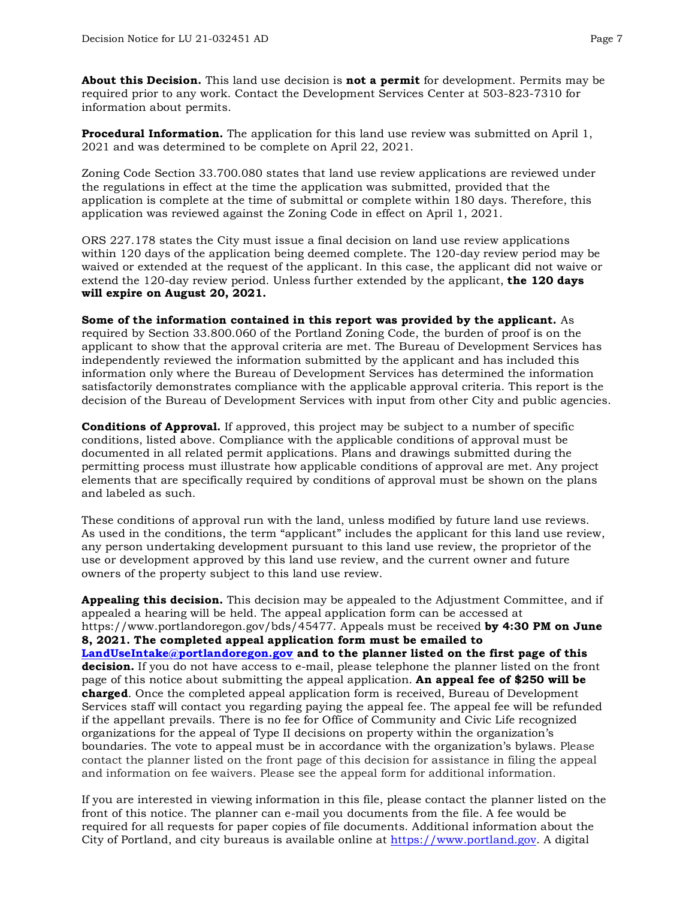**About this Decision.** This land use decision is **not a permit** for development. Permits may be required prior to any work. Contact the Development Services Center at 503-823-7310 for information about permits.

**Procedural Information.** The application for this land use review was submitted on April 1, 2021 and was determined to be complete on April 22, 2021.

Zoning Code Section 33.700.080 states that land use review applications are reviewed under the regulations in effect at the time the application was submitted, provided that the application is complete at the time of submittal or complete within 180 days. Therefore, this application was reviewed against the Zoning Code in effect on April 1, 2021.

ORS 227.178 states the City must issue a final decision on land use review applications within 120 days of the application being deemed complete. The 120-day review period may be waived or extended at the request of the applicant. In this case, the applicant did not waive or extend the 120-day review period. Unless further extended by the applicant, **the 120 days will expire on August 20, 2021.**

**Some of the information contained in this report was provided by the applicant.** As required by Section 33.800.060 of the Portland Zoning Code, the burden of proof is on the applicant to show that the approval criteria are met. The Bureau of Development Services has independently reviewed the information submitted by the applicant and has included this information only where the Bureau of Development Services has determined the information satisfactorily demonstrates compliance with the applicable approval criteria. This report is the decision of the Bureau of Development Services with input from other City and public agencies.

**Conditions of Approval.** If approved, this project may be subject to a number of specific conditions, listed above. Compliance with the applicable conditions of approval must be documented in all related permit applications. Plans and drawings submitted during the permitting process must illustrate how applicable conditions of approval are met. Any project elements that are specifically required by conditions of approval must be shown on the plans and labeled as such.

These conditions of approval run with the land, unless modified by future land use reviews. As used in the conditions, the term "applicant" includes the applicant for this land use review, any person undertaking development pursuant to this land use review, the proprietor of the use or development approved by this land use review, and the current owner and future owners of the property subject to this land use review.

**Appealing this decision.** This decision may be appealed to the Adjustment Committee, and if appealed a hearing will be held. The appeal application form can be accessed at https://www.portlandoregon.gov/bds/45477. Appeals must be received **by 4:30 PM on June 8, 2021. The completed appeal application form must be emailed to [LandUseIntake@portlandoregon.gov](mailto:LandUseIntake@portlandoregon.gov) and to the planner listed on the first page of this decision.** If you do not have access to e-mail, please telephone the planner listed on the front page of this notice about submitting the appeal application. **An appeal fee of \$250 will be charged**. Once the completed appeal application form is received, Bureau of Development Services staff will contact you regarding paying the appeal fee. The appeal fee will be refunded if the appellant prevails. There is no fee for Office of Community and Civic Life recognized organizations for the appeal of Type II decisions on property within the organization's boundaries. The vote to appeal must be in accordance with the organization's bylaws. Please contact the planner listed on the front page of this decision for assistance in filing the appeal and information on fee waivers. Please see the appeal form for additional information.

If you are interested in viewing information in this file, please contact the planner listed on the front of this notice. The planner can e-mail you documents from the file. A fee would be required for all requests for paper copies of file documents. Additional information about the City of Portland, and city bureaus is available online at [https://www.portland.gov.](https://www.portland.gov/) A digital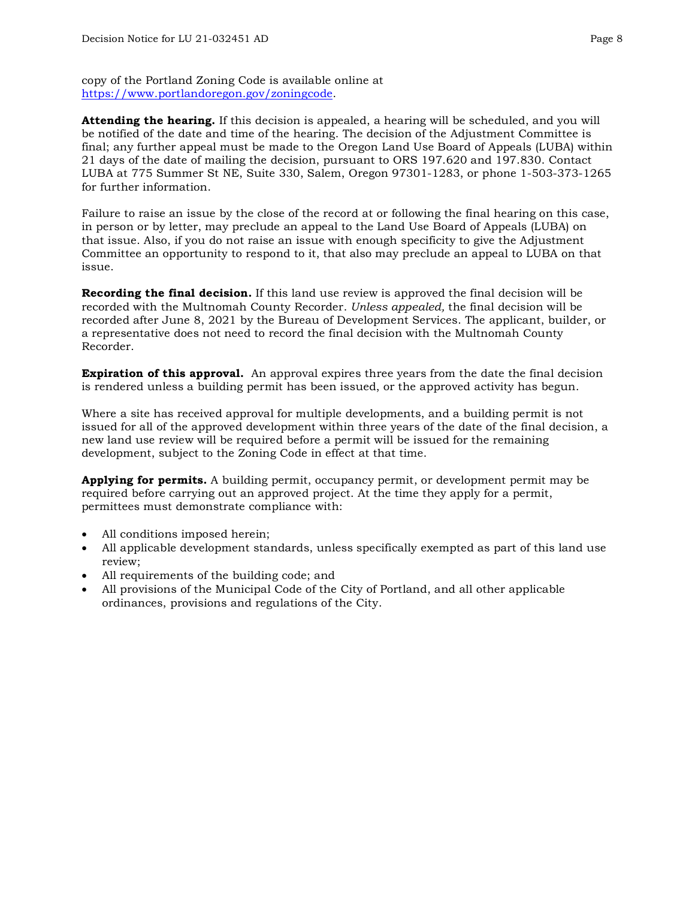copy of the Portland Zoning Code is available online at [https://www.portlandoregon.gov/zoningcode.](https://www.portlandoregon.gov/zoningcode)

**Attending the hearing.** If this decision is appealed, a hearing will be scheduled, and you will be notified of the date and time of the hearing. The decision of the Adjustment Committee is final; any further appeal must be made to the Oregon Land Use Board of Appeals (LUBA) within 21 days of the date of mailing the decision, pursuant to ORS 197.620 and 197.830. Contact LUBA at 775 Summer St NE, Suite 330, Salem, Oregon 97301-1283, or phone 1-503-373-1265 for further information.

Failure to raise an issue by the close of the record at or following the final hearing on this case, in person or by letter, may preclude an appeal to the Land Use Board of Appeals (LUBA) on that issue. Also, if you do not raise an issue with enough specificity to give the Adjustment Committee an opportunity to respond to it, that also may preclude an appeal to LUBA on that issue.

**Recording the final decision.** If this land use review is approved the final decision will be recorded with the Multnomah County Recorder. *Unless appealed,* the final decision will be recorded after June 8, 2021 by the Bureau of Development Services. The applicant, builder, or a representative does not need to record the final decision with the Multnomah County Recorder.

**Expiration of this approval.** An approval expires three years from the date the final decision is rendered unless a building permit has been issued, or the approved activity has begun.

Where a site has received approval for multiple developments, and a building permit is not issued for all of the approved development within three years of the date of the final decision, a new land use review will be required before a permit will be issued for the remaining development, subject to the Zoning Code in effect at that time.

**Applying for permits.** A building permit, occupancy permit, or development permit may be required before carrying out an approved project. At the time they apply for a permit, permittees must demonstrate compliance with:

- All conditions imposed herein;
- All applicable development standards, unless specifically exempted as part of this land use review;
- All requirements of the building code; and
- All provisions of the Municipal Code of the City of Portland, and all other applicable ordinances, provisions and regulations of the City.